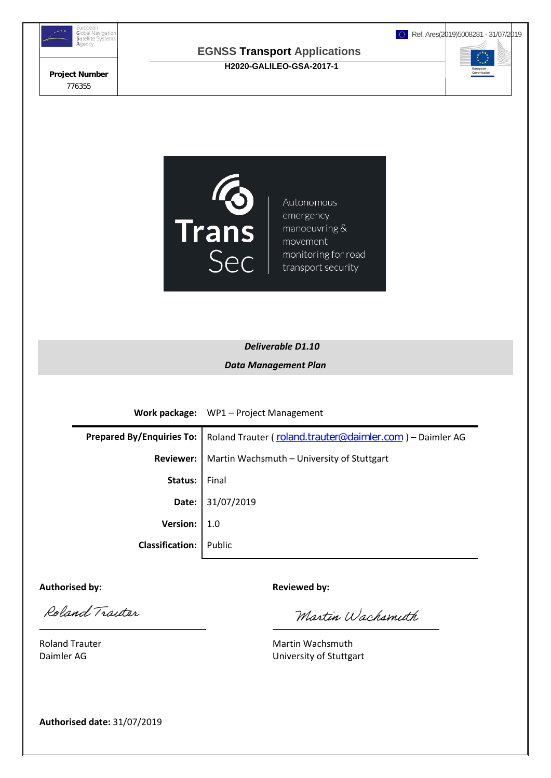

**H2020-GALILEO-GSA-2017-1**

Ref. Ares(2019)5008281 - 31/07/2019





Autonomous emergency manoeuvring & movement monitoring for road transport security

## *Deliverable D1.10 Data Management Plan*

**Work package:** WP1 – Project Management

|                               | Prepared By/Enquiries To:   Roland Trauter ( roland.trauter@daimler.com ) - Daimler AG |  |  |  |
|-------------------------------|----------------------------------------------------------------------------------------|--|--|--|
|                               | <b>Reviewer:</b>   Martin Wachsmuth - University of Stuttgart                          |  |  |  |
| Status:                       | Final                                                                                  |  |  |  |
|                               | Date: 31/07/2019                                                                       |  |  |  |
| Version: $  1.0$              |                                                                                        |  |  |  |
| <b>Classification:</b> Public |                                                                                        |  |  |  |
|                               |                                                                                        |  |  |  |

Authorised by: **Authorised by: Reviewed by: Reviewed by:** 

Roland Traiter  $\overline{a}$ 

Martin Wachsmith

Roland Trauter **Martin Wachsmuth** Martin Wachsmuth Daimler AG University of Stuttgart

**Authorised date:** 31/07/2019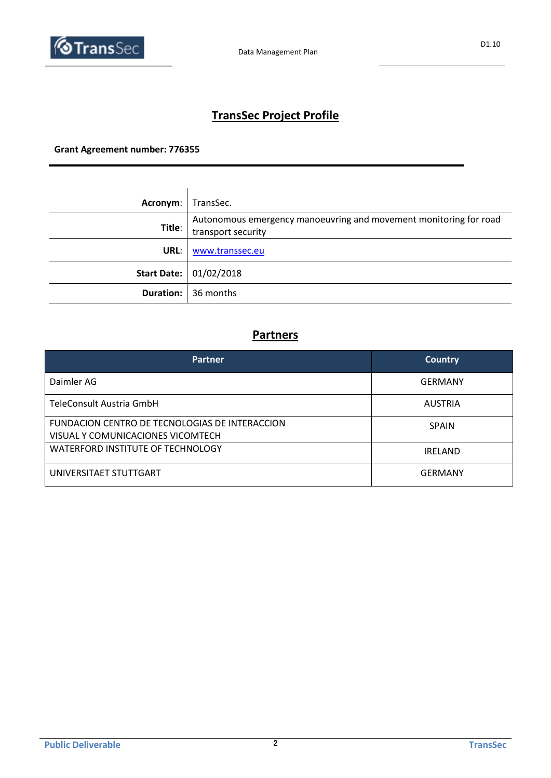

# **TransSec Project Profile**

### **Grant Agreement number: 776355**

| Acronym: | TransSec.                                                                               |
|----------|-----------------------------------------------------------------------------------------|
| Title:   | Autonomous emergency manoeuvring and movement monitoring for road<br>transport security |
| URL:     | www.transsec.eu                                                                         |
|          | Start Date: 01/02/2018                                                                  |
|          | <b>Duration:</b> 36 months                                                              |

### **Partners**

| <b>Partner</b>                                                                      | <b>Country</b> |  |
|-------------------------------------------------------------------------------------|----------------|--|
| Daimler AG                                                                          | <b>GERMANY</b> |  |
| TeleConsult Austria GmbH                                                            | <b>AUSTRIA</b> |  |
| FUNDACION CENTRO DE TECNOLOGIAS DE INTERACCION<br>VISUAL Y COMUNICACIONES VICOMTECH | <b>SPAIN</b>   |  |
| <b>WATERFORD INSTITUTE OF TECHNOLOGY</b>                                            | <b>IRELAND</b> |  |
| UNIVERSITAET STUTTGART                                                              | <b>GERMANY</b> |  |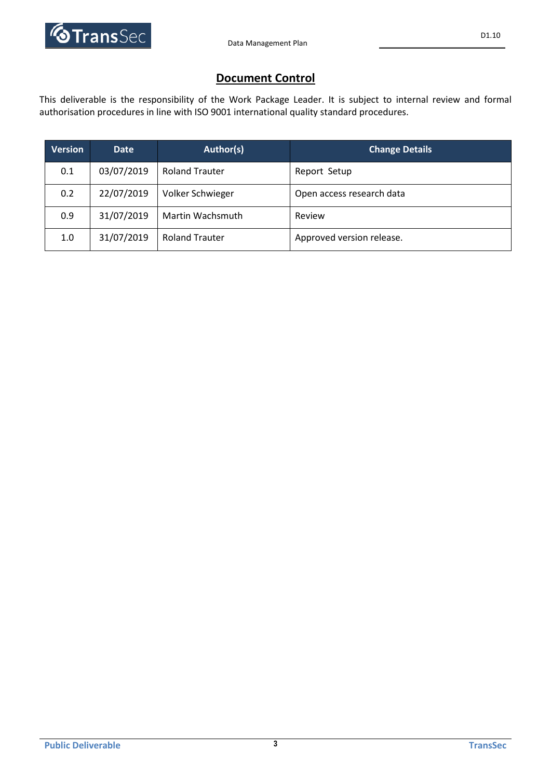

### **Document Control**

This deliverable is the responsibility of the Work Package Leader. It is subject to internal review and formal authorisation procedures in line with ISO 9001 international quality standard procedures.

| <b>Version</b> | <b>Date</b> | Author(s)             | <b>Change Details</b>     |
|----------------|-------------|-----------------------|---------------------------|
| 0.1            | 03/07/2019  | <b>Roland Trauter</b> | Report Setup              |
| 0.2            | 22/07/2019  | Volker Schwieger      | Open access research data |
| 0.9            | 31/07/2019  | Martin Wachsmuth      | Review                    |
| 1.0            | 31/07/2019  | <b>Roland Trauter</b> | Approved version release. |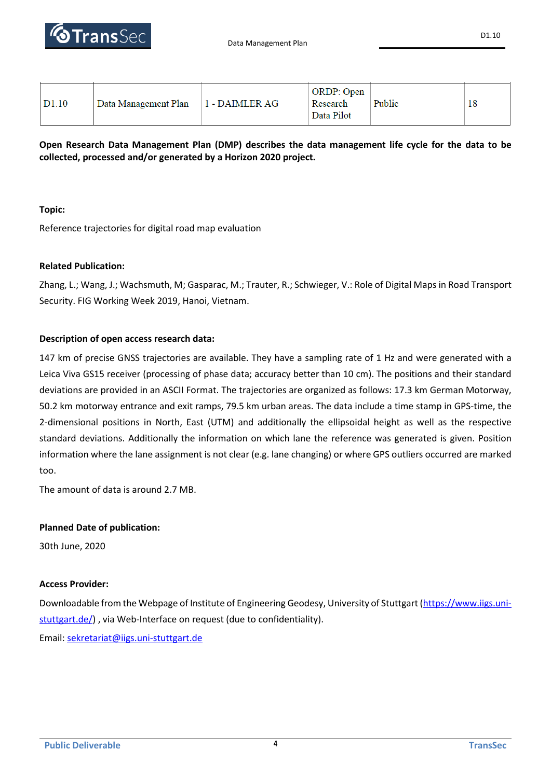

| D <sub>1.10</sub><br>Data Management Plan | 1 - DAIMLER AG | <b>ORDP</b> : Open<br>Research<br>Data Pilot | Public | 18 |  |
|-------------------------------------------|----------------|----------------------------------------------|--------|----|--|
|-------------------------------------------|----------------|----------------------------------------------|--------|----|--|

**Open Research Data Management Plan (DMP) describes the data management life cycle for the data to be collected, processed and/or generated by a Horizon 2020 project.**

#### **Topic:**

Reference trajectories for digital road map evaluation

#### **Related Publication:**

Zhang, L.; Wang, J.; Wachsmuth, M; Gasparac, M.; Trauter, R.; Schwieger, V.: Role of Digital Maps in Road Transport Security. FIG Working Week 2019, Hanoi, Vietnam.

#### **Description of open access research data:**

147 km of precise GNSS trajectories are available. They have a sampling rate of 1 Hz and were generated with a Leica Viva GS15 receiver (processing of phase data; accuracy better than 10 cm). The positions and their standard deviations are provided in an ASCII Format. The trajectories are organized as follows: 17.3 km German Motorway, 50.2 km motorway entrance and exit ramps, 79.5 km urban areas. The data include a time stamp in GPS-time, the 2-dimensional positions in North, East (UTM) and additionally the ellipsoidal height as well as the respective standard deviations. Additionally the information on which lane the reference was generated is given. Position information where the lane assignment is not clear (e.g. lane changing) or where GPS outliers occurred are marked too.

The amount of data is around 2.7 MB.

#### **Planned Date of publication:**

30th June, 2020

#### **Access Provider:**

Downloadable from the Webpage of Institute of Engineering Geodesy, University of Stuttgart [\(https://www.iigs.uni](https://www.iigs.uni-stuttgart.de/)[stuttgart.de/\)](https://www.iigs.uni-stuttgart.de/), via Web-Interface on request (due to confidentiality).

Email[: sekretariat@iigs.uni-stuttgart.de](mailto:sekretariat@iigs.uni-stuttgart.de)